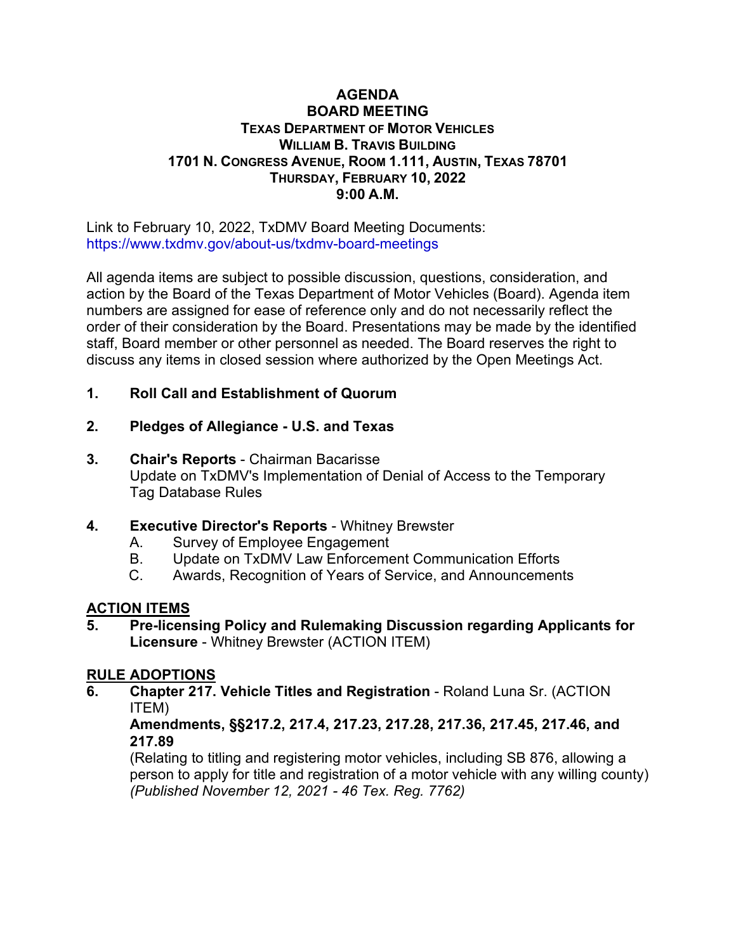#### **AGENDA BOARD MEETING TEXAS DEPARTMENT OF MOTOR VEHICLES WILLIAM B. TRAVIS BUILDING 1701 N. CONGRESS AVENUE, ROOM 1.111, AUSTIN, TEXAS 78701 THURSDAY, FEBRUARY 10, 2022 9:00 A.M.**

Link to February 10, 2022, TxDMV Board Meeting Documents: <https://www.txdmv.gov/about-us/txdmv-board-meetings>

All agenda items are subject to possible discussion, questions, consideration, and action by the Board of the Texas Department of Motor Vehicles (Board). Agenda item numbers are assigned for ease of reference only and do not necessarily reflect the order of their consideration by the Board. Presentations may be made by the identified staff, Board member or other personnel as needed. The Board reserves the right to discuss any items in closed session where authorized by the Open Meetings Act.

## **1. Roll Call and Establishment of Quorum**

## **2. Pledges of Allegiance - U.S. and Texas**

**3. Chair's Reports** - Chairman Bacarisse Update on TxDMV's Implementation of Denial of Access to the Temporary Tag Database Rules

## **4. Executive Director's Reports** - Whitney Brewster

- A. Survey of Employee Engagement
- B. Update on TxDMV Law Enforcement Communication Efforts
- C. Awards, Recognition of Years of Service, and Announcements

#### **ACTION ITEMS**

**5. Pre-licensing Policy and Rulemaking Discussion regarding Applicants for Licensure** - Whitney Brewster (ACTION ITEM)

# **RULE ADOPTIONS**<br>6 Chapter 217

**6. Chapter 217. Vehicle Titles and Registration** - Roland Luna Sr. (ACTION ITEM)

#### **Amendments, §§217.2, 217.4, 217.23, 217.28, 217.36, 217.45, 217.46, and 217.89**

(Relating to titling and registering motor vehicles, including SB 876, allowing a person to apply for title and registration of a motor vehicle with any willing county) *(Published November 12, 2021 - 46 Tex. Reg. 7762)*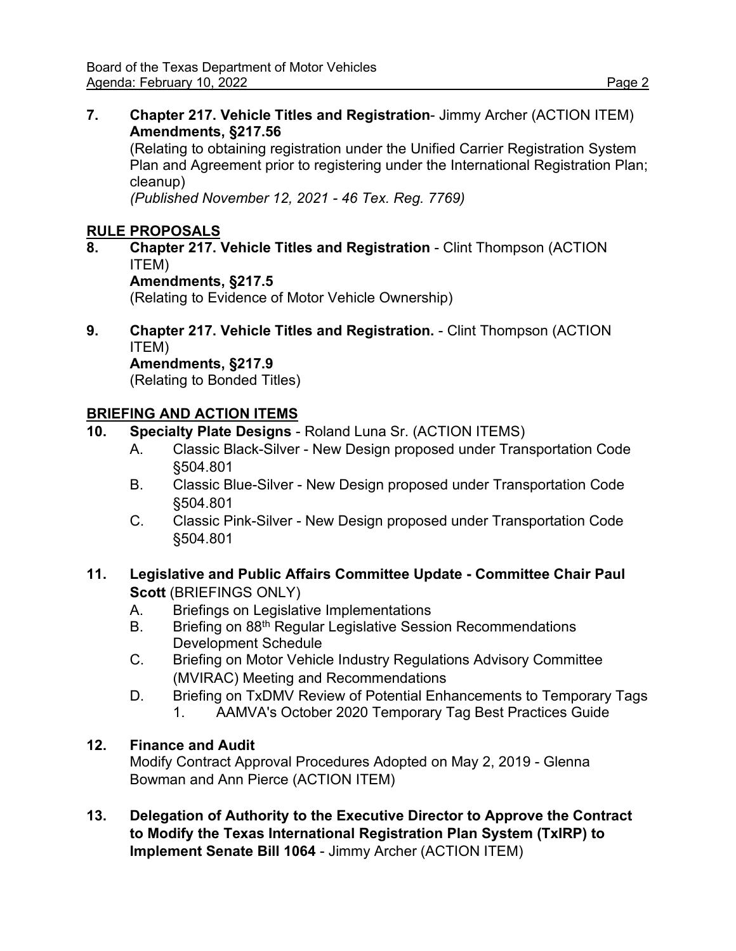**7. Chapter 217. Vehicle Titles and Registration**- Jimmy Archer (ACTION ITEM) **Amendments, §217.56**

(Relating to obtaining registration under the Unified Carrier Registration System Plan and Agreement prior to registering under the International Registration Plan; cleanup)

*(Published November 12, 2021 - 46 Tex. Reg. 7769)*

# **RULE PROPOSALS**

**8. Chapter 217. Vehicle Titles and Registration** - Clint Thompson (ACTION ITEM)

# **Amendments, §217.5**

(Relating to Evidence of Motor Vehicle Ownership)

**9. Chapter 217. Vehicle Titles and Registration.** - Clint Thompson (ACTION ITEM)

## **Amendments, §217.9**

(Relating to Bonded Titles)

#### **BRIEFING AND ACTION ITEMS**

- **10. Specialty Plate Designs** Roland Luna Sr. (ACTION ITEMS)
	- A. Classic Black-Silver New Design proposed under Transportation Code §504.801
	- B. Classic Blue-Silver New Design proposed under Transportation Code §504.801
	- C. Classic Pink-Silver New Design proposed under Transportation Code §504.801

## **11. Legislative and Public Affairs Committee Update - Committee Chair Paul Scott** (BRIEFINGS ONLY)

- A. Briefings on Legislative Implementations
- B. Briefing on 88<sup>th</sup> Regular Legislative Session Recommendations Development Schedule
- C. Briefing on Motor Vehicle Industry Regulations Advisory Committee (MVIRAC) Meeting and Recommendations
- D. Briefing on TxDMV Review of Potential Enhancements to Temporary Tags 1. AAMVA's October 2020 Temporary Tag Best Practices Guide

## **12. Finance and Audit**

Modify Contract Approval Procedures Adopted on May 2, 2019 - Glenna Bowman and Ann Pierce (ACTION ITEM)

**13. Delegation of Authority to the Executive Director to Approve the Contract to Modify the Texas International Registration Plan System (TxIRP) to Implement Senate Bill 1064** - Jimmy Archer (ACTION ITEM)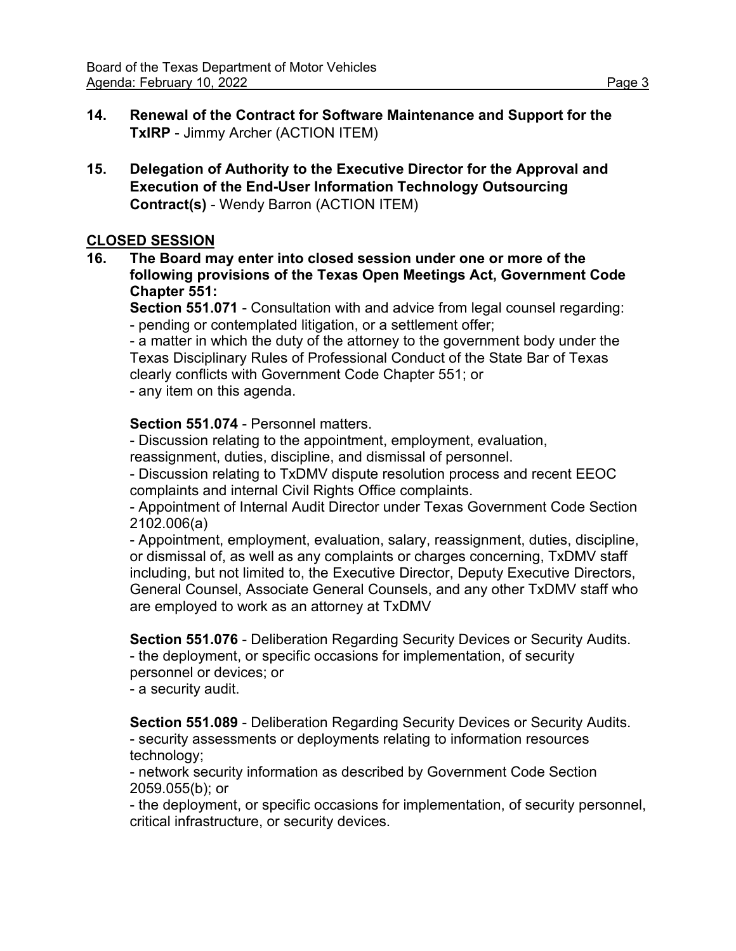- **14. Renewal of the Contract for Software Maintenance and Support for the TxIRP** - Jimmy Archer (ACTION ITEM)
- **15. Delegation of Authority to the Executive Director for the Approval and Execution of the End-User Information Technology Outsourcing Contract(s)** - Wendy Barron (ACTION ITEM)

## **CLOSED SESSION**

**16. The Board may enter into closed session under one or more of the following provisions of the Texas Open Meetings Act, Government Code Chapter 551:**

**Section 551.071** - Consultation with and advice from legal counsel regarding: - pending or contemplated litigation, or a settlement offer;

- a matter in which the duty of the attorney to the government body under the Texas Disciplinary Rules of Professional Conduct of the State Bar of Texas clearly conflicts with Government Code Chapter 551; or

- any item on this agenda.

#### **Section 551.074** - Personnel matters.

- Discussion relating to the appointment, employment, evaluation, reassignment, duties, discipline, and dismissal of personnel.

- Discussion relating to TxDMV dispute resolution process and recent EEOC

complaints and internal Civil Rights Office complaints.

- Appointment of Internal Audit Director under Texas Government Code Section 2102.006(a)

- Appointment, employment, evaluation, salary, reassignment, duties, discipline, or dismissal of, as well as any complaints or charges concerning, TxDMV staff including, but not limited to, the Executive Director, Deputy Executive Directors, General Counsel, Associate General Counsels, and any other TxDMV staff who are employed to work as an attorney at TxDMV

**Section 551.076** - Deliberation Regarding Security Devices or Security Audits. - the deployment, or specific occasions for implementation, of security

personnel or devices; or

- a security audit.

**Section 551.089** - Deliberation Regarding Security Devices or Security Audits. - security assessments or deployments relating to information resources technology;

- network security information as described by Government Code Section 2059.055(b); or

- the deployment, or specific occasions for implementation, of security personnel, critical infrastructure, or security devices.